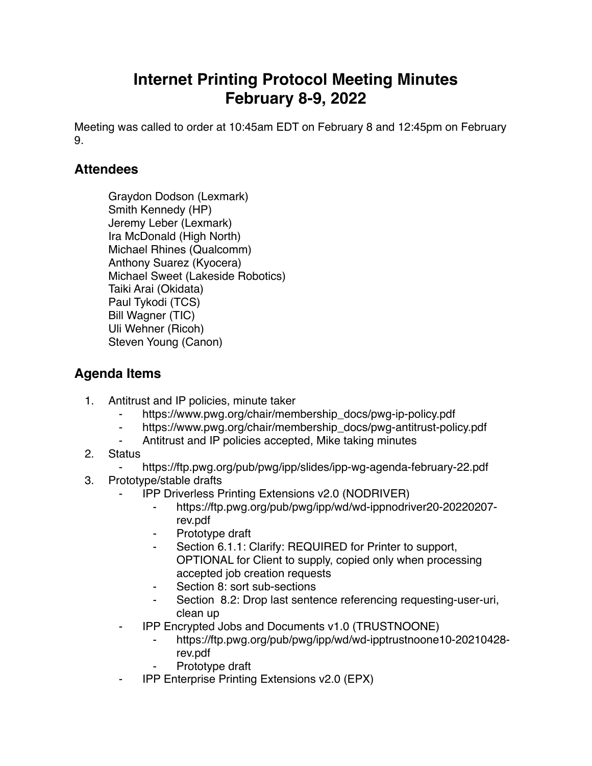## **Internet Printing Protocol Meeting Minutes February 8-9, 2022**

Meeting was called to order at 10:45am EDT on February 8 and 12:45pm on February 9.

## **Attendees**

Graydon Dodson (Lexmark) Smith Kennedy (HP) Jeremy Leber (Lexmark) Ira McDonald (High North) Michael Rhines (Qualcomm) Anthony Suarez (Kyocera) Michael Sweet (Lakeside Robotics) Taiki Arai (Okidata) Paul Tykodi (TCS) Bill Wagner (TIC) Uli Wehner (Ricoh) Steven Young (Canon)

## **Agenda Items**

- 1. Antitrust and IP policies, minute taker
	- https://www.pwg.org/chair/membership\_docs/pwg-ip-policy.pdf
	- https://www.pwg.org/chair/membership\_docs/pwg-antitrust-policy.pdf
	- Antitrust and IP policies accepted, Mike taking minutes
- 2. Status
	- ⁃ https://ftp.pwg.org/pub/pwg/ipp/slides/ipp-wg-agenda-february-22.pdf
- 3. Prototype/stable drafts
	- ⁃ IPP Driverless Printing Extensions v2.0 (NODRIVER)
		- ⁃ https://ftp.pwg.org/pub/pwg/ipp/wd/wd-ippnodriver20-20220207 rev.pdf
		- Prototype draft
		- Section 6.1.1: Clarify: REQUIRED for Printer to support, OPTIONAL for Client to supply, copied only when processing accepted job creation requests
		- Section 8: sort sub-sections
		- Section 8.2: Drop last sentence referencing requesting-user-uri, clean up
	- ⁃ IPP Encrypted Jobs and Documents v1.0 (TRUSTNOONE)
		- ⁃ https://ftp.pwg.org/pub/pwg/ipp/wd/wd-ipptrustnoone10-20210428 rev.pdf
		- Prototype draft
	- **IPP Enterprise Printing Extensions v2.0 (EPX)**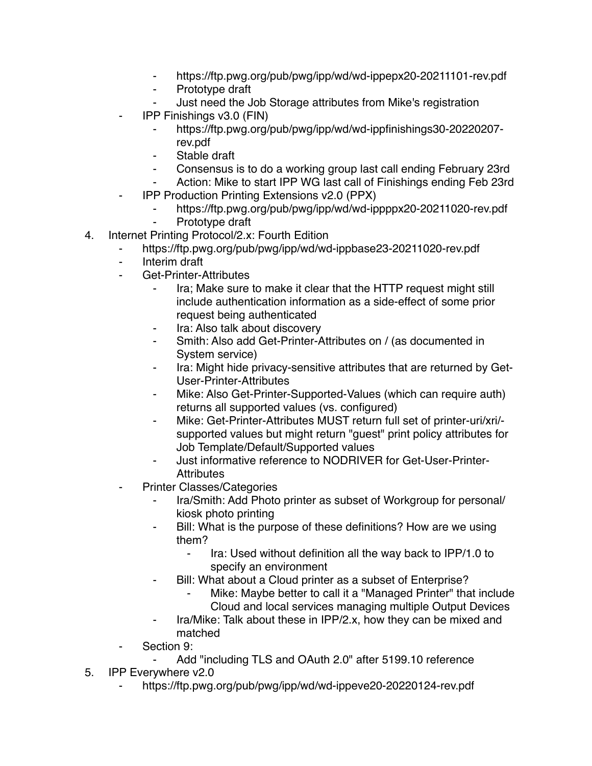- https://ftp.pwg.org/pub/pwg/ipp/wd/wd-ippepx20-20211101-rev.pdf
- ⁃ Prototype draft
- Just need the Job Storage attributes from Mike's registration
- ⁃ IPP Finishings v3.0 (FIN)
	- ⁃ https://ftp.pwg.org/pub/pwg/ipp/wd/wd-ippfinishings30-20220207 rev.pdf
	- Stable draft
	- ⁃ Consensus is to do a working group last call ending February 23rd
	- Action: Mike to start IPP WG last call of Finishings ending Feb 23rd
- **IPP Production Printing Extensions v2.0 (PPX)** 
	- https://ftp.pwg.org/pub/pwg/ipp/wd/wd-ippppx20-20211020-rev.pdf
	- Prototype draft
- 4. Internet Printing Protocol/2.x: Fourth Edition
	- https://ftp.pwg.org/pub/pwg/ipp/wd/wd-ippbase23-20211020-rev.pdf
	- ⁃ Interim draft
	- Get-Printer-Attributes
		- ⁃ Ira; Make sure to make it clear that the HTTP request might still include authentication information as a side-effect of some prior request being authenticated
		- ⁃ Ira: Also talk about discovery
		- Smith: Also add Get-Printer-Attributes on / (as documented in System service)
		- Ira: Might hide privacy-sensitive attributes that are returned by Get-User-Printer-Attributes
		- Mike: Also Get-Printer-Supported-Values (which can require auth) returns all supported values (vs. configured)
		- ⁃ Mike: Get-Printer-Attributes MUST return full set of printer-uri/xri/ supported values but might return "guest" print policy attributes for Job Template/Default/Supported values
		- ⁃ Just informative reference to NODRIVER for Get-User-Printer-**Attributes**
	- **Printer Classes/Categories** 
		- Ira/Smith: Add Photo printer as subset of Workgroup for personal/ kiosk photo printing
		- ⁃ Bill: What is the purpose of these definitions? How are we using them?
			- ⁃ Ira: Used without definition all the way back to IPP/1.0 to specify an environment
		- ⁃ Bill: What about a Cloud printer as a subset of Enterprise?
			- Mike: Maybe better to call it a "Managed Printer" that include Cloud and local services managing multiple Output Devices
		- Ira/Mike: Talk about these in IPP/2.x, how they can be mixed and matched
	- Section 9:
		- Add "including TLS and OAuth 2.0" after 5199.10 reference
- 5. IPP Everywhere v2.0
	- https://ftp.pwg.org/pub/pwg/ipp/wd/wd-ippeve20-20220124-rev.pdf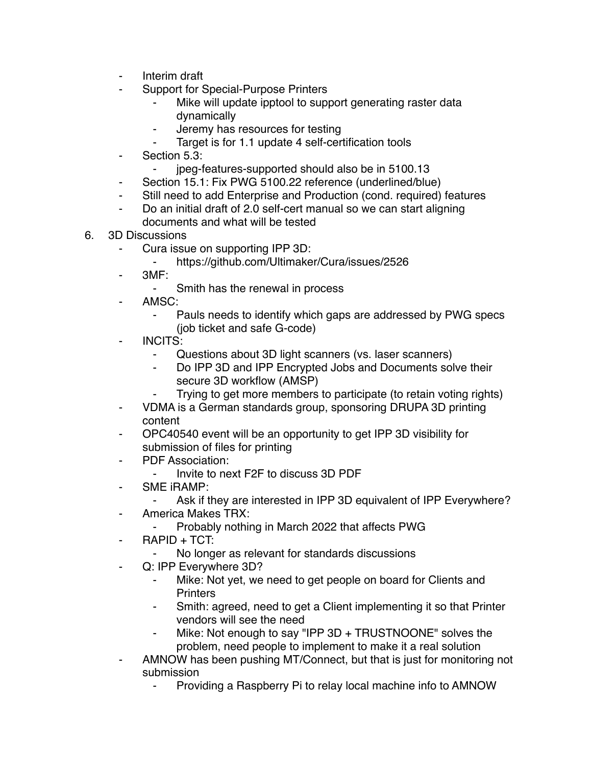- ⁃ Interim draft
- Support for Special-Purpose Printers
	- Mike will update ipptool to support generating raster data dynamically
	- ⁃ Jeremy has resources for testing
	- Target is for 1.1 update 4 self-certification tools
- Section 5.3:
	- ⁃ jpeg-features-supported should also be in 5100.13
- Section 15.1: Fix PWG 5100.22 reference (underlined/blue)
- ⁃ Still need to add Enterprise and Production (cond. required) features
- Do an initial draft of 2.0 self-cert manual so we can start aligning documents and what will be tested
- 6. 3D Discussions
	- Cura issue on supporting IPP 3D:
		- ⁃ https://github.com/Ultimaker/Cura/issues/2526
	- $3MF:$ 
		- ⁃ Smith has the renewal in process
	- AMSC:
		- Pauls needs to identify which gaps are addressed by PWG specs (job ticket and safe G-code)
	- INCITS:
		- ⁃ Questions about 3D light scanners (vs. laser scanners)
		- Do IPP 3D and IPP Encrypted Jobs and Documents solve their secure 3D workflow (AMSP)
			- Trying to get more members to participate (to retain voting rights)
	- ⁃ VDMA is a German standards group, sponsoring DRUPA 3D printing content
	- ⁃ OPC40540 event will be an opportunity to get IPP 3D visibility for submission of files for printing
	- PDF Association:
		- ⁃ Invite to next F2F to discuss 3D PDF
	- ⁃ SME iRAMP:
		- Ask if they are interested in IPP 3D equivalent of IPP Everywhere?
	- America Makes TRX:
		- Probably nothing in March 2022 that affects PWG
	- $RAPID + TCT:$ 
		- No longer as relevant for standards discussions
	- Q: IPP Everywhere 3D?
		- Mike: Not yet, we need to get people on board for Clients and **Printers**
		- Smith: agreed, need to get a Client implementing it so that Printer vendors will see the need
		- Mike: Not enough to say "IPP 3D + TRUSTNOONE" solves the problem, need people to implement to make it a real solution
	- AMNOW has been pushing MT/Connect, but that is just for monitoring not submission
		- Providing a Raspberry Pi to relay local machine info to AMNOW